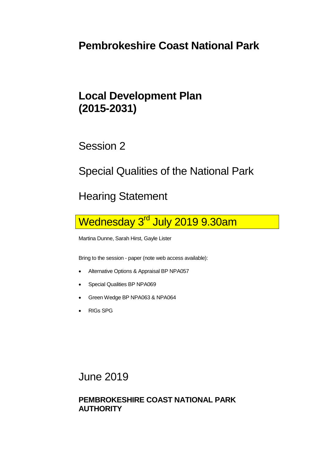## **Pembrokeshire Coast National Park**

## **Local Development Plan (2015-2031)**

Session 2

Special Qualities of the National Park

Hearing Statement

Wednesday 3<sup>rd</sup> July 2019 9.30am

Martina Dunne, Sarah Hirst, Gayle Lister

Bring to the session - paper (note web access available):

- Alternative Options & Appraisal BP NPA057
- Special Qualities BP NPA069
- Green Wedge BP NPA063 & NPA064
- RIGs SPG

June 2019

## **PEMBROKESHIRE COAST NATIONAL PARK AUTHORITY**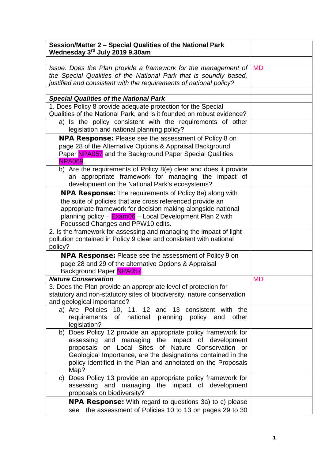| Session/Matter 2 - Special Qualities of the National Park<br>Wednesday 3 <sup>rd</sup> July 2019 9.30am |           |
|---------------------------------------------------------------------------------------------------------|-----------|
|                                                                                                         |           |
| Issue: Does the Plan provide a framework for the management of                                          | <b>MD</b> |
| the Special Qualities of the National Park that is soundly based,                                       |           |
| justified and consistent with the requirements of national policy?                                      |           |
|                                                                                                         |           |
| <b>Special Qualities of the National Park</b>                                                           |           |
| 1. Does Policy 8 provide adequate protection for the Special                                            |           |
| Qualities of the National Park, and is it founded on robust evidence?                                   |           |
| a) Is the policy consistent with the requirements of other                                              |           |
| legislation and national planning policy?                                                               |           |
| <b>NPA Response:</b> Please see the assessment of Policy 8 on                                           |           |
| page 28 of the Alternative Options & Appraisal Background                                               |           |
| Paper NPA057 and the Background Paper Special Qualities                                                 |           |
| <b>NPA069.</b>                                                                                          |           |
| b) Are the requirements of Policy 8(e) clear and does it provide                                        |           |
| an appropriate framework for managing the impact of                                                     |           |
| development on the National Park's ecosystems?                                                          |           |
| <b>NPA Response:</b> The requirements of Policy 8e) along with                                          |           |
| the suite of policies that are cross referenced provide an                                              |           |
| appropriate framework for decision making alongside national                                            |           |
|                                                                                                         |           |
| planning policy - Exam06 - Local Development Plan 2 with<br>Focussed Changes and PPW10 edits.           |           |
| 2. Is the framework for assessing and managing the impact of light                                      |           |
| pollution contained in Policy 9 clear and consistent with national                                      |           |
| policy?                                                                                                 |           |
|                                                                                                         |           |
| NPA Response: Please see the assessment of Policy 9 on                                                  |           |
| page 28 and 29 of the alternative Options & Appraisal                                                   |           |
| Background Paper NPA057.                                                                                |           |
| <b>Nature Conservation</b>                                                                              | <b>MD</b> |
| 3. Does the Plan provide an appropriate level of protection for                                         |           |
| statutory and non-statutory sites of biodiversity, nature conservation                                  |           |
| and geological importance?                                                                              |           |
| a) Are Policies 10, 11, 12 and 13 consistent with the                                                   |           |
| requirements of national<br>planning<br>policy and<br>other                                             |           |
| legislation?                                                                                            |           |
| b) Does Policy 12 provide an appropriate policy framework for                                           |           |
| assessing and managing the impact of development                                                        |           |
| on Local Sites of Nature Conservation or<br>proposals                                                   |           |
| Geological Importance, are the designations contained in the                                            |           |
| policy identified in the Plan and annotated on the Proposals                                            |           |
| Map?                                                                                                    |           |
| Does Policy 13 provide an appropriate policy framework for<br>C)                                        |           |
| assessing and managing the impact of development                                                        |           |
| proposals on biodiversity?                                                                              |           |
| <b>NPA Response:</b> With regard to questions 3a) to c) please                                          |           |
| the assessment of Policies 10 to 13 on pages 29 to 30<br>see                                            |           |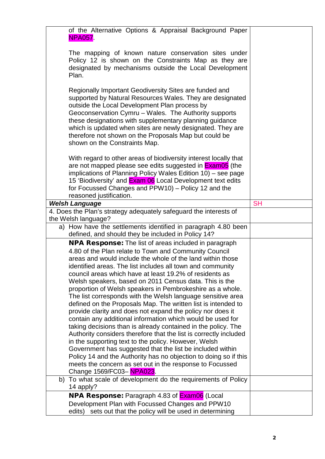| of the Alternative Options & Appraisal Background Paper<br><b>NPA057.</b>                                                                                                                                                                                                                                                                                                                                                                                                                                                                                                                                                                                                                                                                                                                                                                                                                                                                                                                                                                                                                                              |           |
|------------------------------------------------------------------------------------------------------------------------------------------------------------------------------------------------------------------------------------------------------------------------------------------------------------------------------------------------------------------------------------------------------------------------------------------------------------------------------------------------------------------------------------------------------------------------------------------------------------------------------------------------------------------------------------------------------------------------------------------------------------------------------------------------------------------------------------------------------------------------------------------------------------------------------------------------------------------------------------------------------------------------------------------------------------------------------------------------------------------------|-----------|
| The mapping of known nature conservation sites under<br>Policy 12 is shown on the Constraints Map as they are<br>designated by mechanisms outside the Local Development<br>Plan.                                                                                                                                                                                                                                                                                                                                                                                                                                                                                                                                                                                                                                                                                                                                                                                                                                                                                                                                       |           |
| Regionally Important Geodiversity Sites are funded and<br>supported by Natural Resources Wales. They are designated<br>outside the Local Development Plan process by<br>Geoconservation Cymru - Wales. The Authority supports<br>these designations with supplementary planning guidance<br>which is updated when sites are newly designated. They are<br>therefore not shown on the Proposals Map but could be<br>shown on the Constraints Map.                                                                                                                                                                                                                                                                                                                                                                                                                                                                                                                                                                                                                                                                       |           |
| With regard to other areas of biodiversity interest locally that<br>are not mapped please see edits suggested in <b>Exam05</b> (the<br>implications of Planning Policy Wales Edition 10) - see page<br>15 'Biodiversity' and <b>Exam 06</b> Local Development text edits<br>for Focussed Changes and PPW10) - Policy 12 and the<br>reasoned justification.                                                                                                                                                                                                                                                                                                                                                                                                                                                                                                                                                                                                                                                                                                                                                             |           |
| <b>Welsh Language</b>                                                                                                                                                                                                                                                                                                                                                                                                                                                                                                                                                                                                                                                                                                                                                                                                                                                                                                                                                                                                                                                                                                  | <b>SH</b> |
| 4. Does the Plan's strategy adequately safeguard the interests of                                                                                                                                                                                                                                                                                                                                                                                                                                                                                                                                                                                                                                                                                                                                                                                                                                                                                                                                                                                                                                                      |           |
| the Welsh language?                                                                                                                                                                                                                                                                                                                                                                                                                                                                                                                                                                                                                                                                                                                                                                                                                                                                                                                                                                                                                                                                                                    |           |
| a) How have the settlements identified in paragraph 4.80 been<br>defined, and should they be included in Policy 14?                                                                                                                                                                                                                                                                                                                                                                                                                                                                                                                                                                                                                                                                                                                                                                                                                                                                                                                                                                                                    |           |
| <b>NPA Response:</b> The list of areas included in paragraph<br>4.80 of the Plan relate to Town and Community Council<br>areas and would include the whole of the land within those<br>identified areas. The list includes all town and community<br>council areas which have at least 19.2% of residents as<br>Welsh speakers, based on 2011 Census data. This is the<br>proportion of Welsh speakers in Pembrokeshire as a whole.<br>The list corresponds with the Welsh language sensitive area<br>defined on the Proposals Map. The written list is intended to<br>provide clarity and does not expand the policy nor does it<br>contain any additional information which would be used for<br>taking decisions than is already contained in the policy. The<br>Authority considers therefore that the list is correctly included<br>in the supporting text to the policy. However, Welsh<br>Government has suggested that the list be included within<br>Policy 14 and the Authority has no objection to doing so if this<br>meets the concern as set out in the response to Focussed<br>Change 1569/FC03-NPA023. |           |
| b) To what scale of development do the requirements of Policy<br>14 apply?                                                                                                                                                                                                                                                                                                                                                                                                                                                                                                                                                                                                                                                                                                                                                                                                                                                                                                                                                                                                                                             |           |
| <b>NPA Response:</b> Paragraph 4.83 of <b>Exam06</b> (Local                                                                                                                                                                                                                                                                                                                                                                                                                                                                                                                                                                                                                                                                                                                                                                                                                                                                                                                                                                                                                                                            |           |
| Development Plan with Focussed Changes and PPW10<br>edits) sets out that the policy will be used in determining                                                                                                                                                                                                                                                                                                                                                                                                                                                                                                                                                                                                                                                                                                                                                                                                                                                                                                                                                                                                        |           |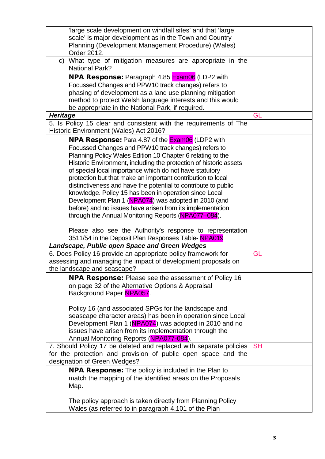| 'large scale development on windfall sites' and that 'large        |           |
|--------------------------------------------------------------------|-----------|
| scale' is major development as in the Town and Country             |           |
| Planning (Development Management Procedure) (Wales)                |           |
| Order 2012.                                                        |           |
| What type of mitigation measures are appropriate in the<br>C)      |           |
| <b>National Park?</b>                                              |           |
| <b>NPA Response:</b> Paragraph 4.85 <b>Exam06</b> (LDP2 with       |           |
| Focussed Changes and PPW10 track changes) refers to                |           |
| phasing of development as a land use planning mitigation           |           |
| method to protect Welsh language interests and this would          |           |
| be appropriate in the National Park, if required.                  |           |
| <b>Heritage</b>                                                    | GL        |
| 5. Is Policy 15 clear and consistent with the requirements of The  |           |
| Historic Environment (Wales) Act 2016?                             |           |
| <b>NPA Response:</b> Para 4.87 of the <b>Exam06</b> (LDP2 with     |           |
| Focussed Changes and PPW10 track changes) refers to                |           |
| Planning Policy Wales Edition 10 Chapter 6 relating to the         |           |
| Historic Environment, including the protection of historic assets  |           |
| of special local importance which do not have statutory            |           |
| protection but that make an important contribution to local        |           |
| distinctiveness and have the potential to contribute to public     |           |
| knowledge. Policy 15 has been in operation since Local             |           |
| Development Plan 1 (NPA074) was adopted in 2010 (and               |           |
| before) and no issues have arisen from its implementation          |           |
| through the Annual Monitoring Reports (NPA077-084).                |           |
|                                                                    |           |
| Please also see the Authority's response to representation         |           |
| 3511/54 in the Deposit Plan Responses Table-NPA019                 |           |
| Landscape, Public open Space and Green Wedges                      |           |
| 6. Does Policy 16 provide an appropriate policy framework for      | GL        |
| assessing and managing the impact of development proposals on      |           |
| the landscape and seascape?                                        |           |
| <b>NPA Response:</b> Please see the assessment of Policy 16        |           |
| on page 32 of the Alternative Options & Appraisal                  |           |
| Background Paper NPA057.                                           |           |
|                                                                    |           |
| Policy 16 (and associated SPGs for the landscape and               |           |
| seascape character areas) has been in operation since Local        |           |
| Development Plan 1 (NPA074) was adopted in 2010 and no             |           |
| issues have arisen from its implementation through the             |           |
| Annual Monitoring Reports (NPA077-084).                            |           |
| 7. Should Policy 17 be deleted and replaced with separate policies | <b>SH</b> |
| for the protection and provision of public open space and the      |           |
| designation of Green Wedges?                                       |           |
| <b>NPA Response:</b> The policy is included in the Plan to         |           |
| match the mapping of the identified areas on the Proposals         |           |
| Map.                                                               |           |
|                                                                    |           |
| The policy approach is taken directly from Planning Policy         |           |
| Wales (as referred to in paragraph 4.101 of the Plan               |           |
|                                                                    |           |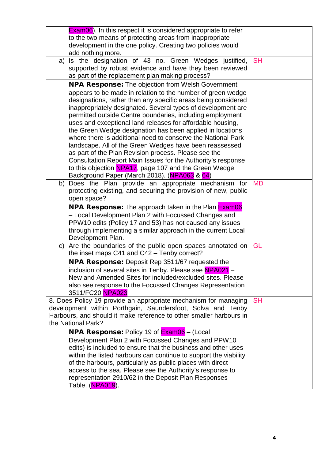|    | <b>Exam06</b> ). In this respect it is considered appropriate to refer                                                    |           |
|----|---------------------------------------------------------------------------------------------------------------------------|-----------|
|    | to the two means of protecting areas from inappropriate                                                                   |           |
|    | development in the one policy. Creating two policies would                                                                |           |
|    | add nothing more.                                                                                                         |           |
| a) | Is the designation of 43 no. Green Wedges justified,                                                                      | <b>SH</b> |
|    | supported by robust evidence and have they been reviewed                                                                  |           |
|    | as part of the replacement plan making process?                                                                           |           |
|    | <b>NPA Response:</b> The objection from Welsh Government                                                                  |           |
|    | appears to be made in relation to the number of green wedge                                                               |           |
|    | designations, rather than any specific areas being considered                                                             |           |
|    | inappropriately designated. Several types of development are                                                              |           |
|    | permitted outside Centre boundaries, including employment                                                                 |           |
|    | uses and exceptional land releases for affordable housing,                                                                |           |
|    | the Green Wedge designation has been applied in locations<br>where there is additional need to conserve the National Park |           |
|    | landscape. All of the Green Wedges have been reassessed                                                                   |           |
|    | as part of the Plan Revision process. Please see the                                                                      |           |
|    | Consultation Report Main Issues for the Authority's response                                                              |           |
|    | to this objection NPA17, page 107 and the Green Wedge                                                                     |           |
|    | Background Paper (March 2018). (NPA063 & 64)                                                                              |           |
| b) | Does the Plan provide an appropriate mechanism for                                                                        | <b>MD</b> |
|    | protecting existing, and securing the provision of new, public                                                            |           |
|    | open space?                                                                                                               |           |
|    | <b>NPA Response:</b> The approach taken in the Plan <b>Exam06</b>                                                         |           |
|    | - Local Development Plan 2 with Focussed Changes and                                                                      |           |
|    | PPW10 edits (Policy 17 and 53) has not caused any issues                                                                  |           |
|    | through implementing a similar approach in the current Local                                                              |           |
|    | Development Plan.                                                                                                         |           |
| C) | Are the boundaries of the public open spaces annotated on                                                                 | GL        |
|    | the inset maps C41 and C42 - Tenby correct?                                                                               |           |
|    | <b>NPA Response:</b> Deposit Rep 3511/67 requested the                                                                    |           |
|    | inclusion of several sites in Tenby. Please see NPA021                                                                    |           |
|    | New and Amended Sites for included/excluded sites. Please                                                                 |           |
|    | also see response to the Focussed Changes Representation                                                                  |           |
|    | 3511/FC20 NPA023                                                                                                          |           |
|    | 8. Does Policy 19 provide an appropriate mechanism for managing                                                           | <b>SH</b> |
|    | development within Porthgain, Saundersfoot, Solva and Tenby                                                               |           |
|    | Harbours, and should it make reference to other smaller harbours in                                                       |           |
|    | the National Park?                                                                                                        |           |
|    | <b>NPA Response:</b> Policy 19 of <b>Exam06</b> – (Local                                                                  |           |
|    | Development Plan 2 with Focussed Changes and PPW10                                                                        |           |
|    | edits) is included to ensure that the business and other uses                                                             |           |
|    | within the listed harbours can continue to support the viability                                                          |           |
|    | of the harbours, particularly as public places with direct                                                                |           |
|    | access to the sea. Please see the Authority's response to<br>representation 2910/62 in the Deposit Plan Responses         |           |
|    | Table. ( <mark>NPA019</mark> ).                                                                                           |           |
|    |                                                                                                                           |           |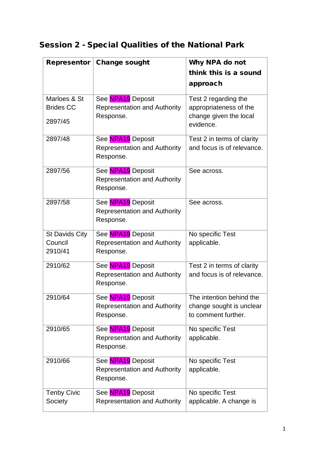## Session 2 - Special Qualities of the National Park

| Representor           | <b>Change sought</b>                                     | Why NPA do not                                  |
|-----------------------|----------------------------------------------------------|-------------------------------------------------|
|                       |                                                          | think this is a sound                           |
|                       |                                                          | approach                                        |
| Marloes & St          | See NPA19 Deposit                                        | Test 2 regarding the                            |
| <b>Brides CC</b>      | <b>Representation and Authority</b>                      | appropriateness of the                          |
| 2897/45               | Response.                                                | change given the local<br>evidence.             |
| 2897/48               | See NPA19 Deposit                                        | Test 2 in terms of clarity                      |
|                       | <b>Representation and Authority</b><br>Response.         | and focus is of relevance.                      |
| 2897/56               | See NPA19 Deposit                                        | See across.                                     |
|                       | <b>Representation and Authority</b><br>Response.         |                                                 |
| 2897/58               | See NPA19 Deposit                                        | See across.                                     |
|                       | <b>Representation and Authority</b><br>Response.         |                                                 |
| <b>St Davids City</b> | See NPA19 Deposit                                        | No specific Test                                |
| Council<br>2910/41    | <b>Representation and Authority</b><br>Response.         | applicable.                                     |
| 2910/62               | See NPA19 Deposit                                        | Test 2 in terms of clarity                      |
|                       | <b>Representation and Authority</b><br>Response.         | and focus is of relevance.                      |
| 2910/64               | See NPA19 Deposit                                        | The intention behind the                        |
|                       | <b>Representation and Authority</b><br>Response.         | change sought is unclear<br>to comment further. |
|                       |                                                          |                                                 |
| 2910/65               | See NPA19 Deposit<br><b>Representation and Authority</b> | No specific Test<br>applicable.                 |
|                       | Response.                                                |                                                 |
| 2910/66               | See NPA19 Deposit                                        | No specific Test                                |
|                       | <b>Representation and Authority</b><br>Response.         | applicable.                                     |
| <b>Tenby Civic</b>    | See NPA19 Deposit                                        | No specific Test                                |
| Society               | <b>Representation and Authority</b>                      | applicable. A change is                         |